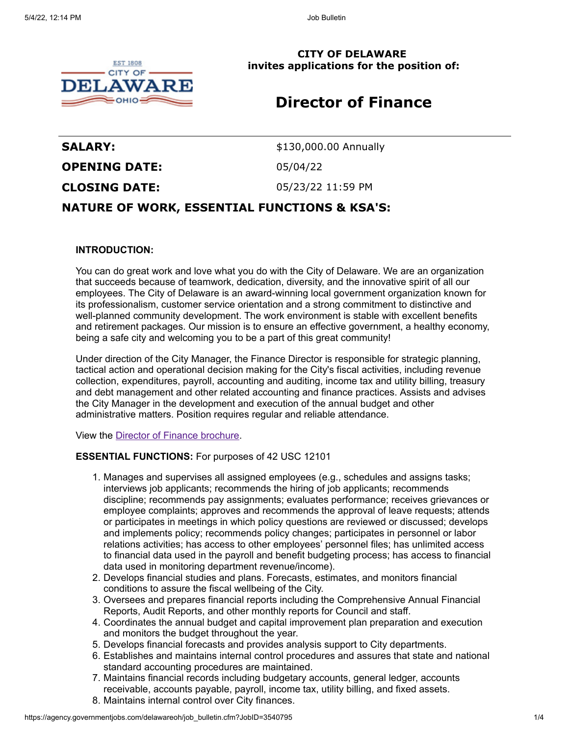

**CITY OF DELAWARE invites applications for the position of:**

# **Director of Finance**

**SALARY:** \$130,000.00 Annually **OPENING DATE:** 05/04/22 **CLOSING DATE:** 05/23/22 11:59 PM

## **NATURE OF WORK, ESSENTIAL FUNCTIONS & KSA'S:**

## **INTRODUCTION:**

You can do great work and love what you do with the City of Delaware. We are an organization that succeeds because of teamwork, dedication, diversity, and the innovative spirit of all our employees. The City of Delaware is an award-winning local government organization known for its professionalism, customer service orientation and a strong commitment to distinctive and well-planned community development. The work environment is stable with excellent benefits and retirement packages. Our mission is to ensure an effective government, a healthy economy, being a safe city and welcoming you to be a part of this great community!

Under direction of the City Manager, the Finance Director is responsible for strategic planning, tactical action and operational decision making for the City's fiscal activities, including revenue collection, expenditures, payroll, accounting and auditing, income tax and utility billing, treasury and debt management and other related accounting and finance practices. Assists and advises the City Manager in the development and execution of the annual budget and other administrative matters. Position requires regular and reliable attendance.

View the [Director of Finance brochure.](http://ow.ly/GZA450IZ4BP)

## **ESSENTIAL FUNCTIONS:** For purposes of 42 USC 12101

- 1. Manages and supervises all assigned employees (e.g., schedules and assigns tasks; interviews job applicants; recommends the hiring of job applicants; recommends discipline; recommends pay assignments; evaluates performance; receives grievances or employee complaints; approves and recommends the approval of leave requests; attends or participates in meetings in which policy questions are reviewed or discussed; develops and implements policy; recommends policy changes; participates in personnel or labor relations activities; has access to other employees' personnel files; has unlimited access to financial data used in the payroll and benefit budgeting process; has access to financial data used in monitoring department revenue/income).
- 2. Develops financial studies and plans. Forecasts, estimates, and monitors financial conditions to assure the fiscal wellbeing of the City.
- 3. Oversees and prepares financial reports including the Comprehensive Annual Financial Reports, Audit Reports, and other monthly reports for Council and staff.
- 4. Coordinates the annual budget and capital improvement plan preparation and execution and monitors the budget throughout the year.
- 5. Develops financial forecasts and provides analysis support to City departments.
- 6. Establishes and maintains internal control procedures and assures that state and national standard accounting procedures are maintained.
- 7. Maintains financial records including budgetary accounts, general ledger, accounts receivable, accounts payable, payroll, income tax, utility billing, and fixed assets.
- 8. Maintains internal control over City finances.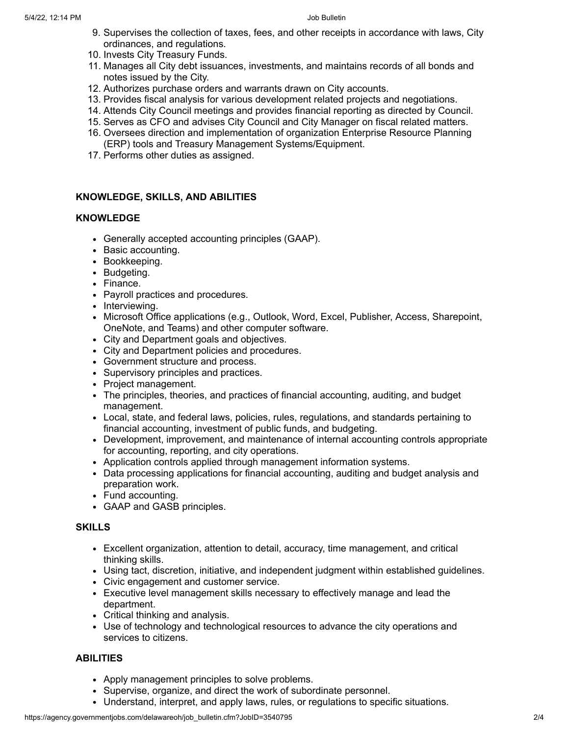- 9. Supervises the collection of taxes, fees, and other receipts in accordance with laws, City ordinances, and regulations.
- 10. Invests City Treasury Funds.
- 11. Manages all City debt issuances, investments, and maintains records of all bonds and notes issued by the City.
- 12. Authorizes purchase orders and warrants drawn on City accounts.
- 13. Provides fiscal analysis for various development related projects and negotiations.
- 14. Attends City Council meetings and provides financial reporting as directed by Council.
- 15. Serves as CFO and advises City Council and City Manager on fiscal related matters.
- 16. Oversees direction and implementation of organization Enterprise Resource Planning (ERP) tools and Treasury Management Systems/Equipment.
- 17. Performs other duties as assigned.

## **KNOWLEDGE, SKILLS, AND ABILITIES**

## **KNOWLEDGE**

- Generally accepted accounting principles (GAAP).
- Basic accounting.
- Bookkeeping.
- Budgeting.
- Finance.
- Payroll practices and procedures.
- Interviewing.
- Microsoft Office applications (e.g., Outlook, Word, Excel, Publisher, Access, Sharepoint, OneNote, and Teams) and other computer software.
- City and Department goals and objectives.
- City and Department policies and procedures.
- Government structure and process.
- Supervisory principles and practices.
- Project management.
- The principles, theories, and practices of financial accounting, auditing, and budget management.
- Local, state, and federal laws, policies, rules, regulations, and standards pertaining to financial accounting, investment of public funds, and budgeting.
- Development, improvement, and maintenance of internal accounting controls appropriate for accounting, reporting, and city operations.
- Application controls applied through management information systems.
- Data processing applications for financial accounting, auditing and budget analysis and preparation work.
- Fund accounting.
- GAAP and GASB principles.

### **SKILLS**

- Excellent organization, attention to detail, accuracy, time management, and critical thinking skills.
- Using tact, discretion, initiative, and independent judgment within established guidelines.
- Civic engagement and customer service.
- Executive level management skills necessary to effectively manage and lead the department.
- Critical thinking and analysis.
- Use of technology and technological resources to advance the city operations and services to citizens.

## **ABILITIES**

- Apply management principles to solve problems.
- Supervise, organize, and direct the work of subordinate personnel.
- Understand, interpret, and apply laws, rules, or regulations to specific situations.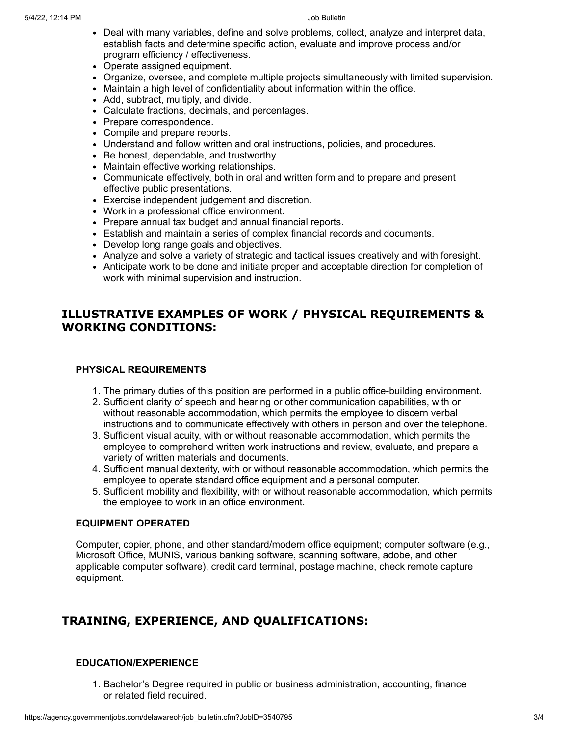- Deal with many variables, define and solve problems, collect, analyze and interpret data, establish facts and determine specific action, evaluate and improve process and/or program efficiency / effectiveness.
- Operate assigned equipment.
- Organize, oversee, and complete multiple projects simultaneously with limited supervision.
- Maintain a high level of confidentiality about information within the office.
- Add, subtract, multiply, and divide.
- Calculate fractions, decimals, and percentages.
- Prepare correspondence.
- Compile and prepare reports.
- Understand and follow written and oral instructions, policies, and procedures.
- Be honest, dependable, and trustworthy.
- Maintain effective working relationships.
- Communicate effectively, both in oral and written form and to prepare and present effective public presentations.
- Exercise independent judgement and discretion.
- Work in a professional office environment.
- Prepare annual tax budget and annual financial reports.
- Establish and maintain a series of complex financial records and documents.
- Develop long range goals and objectives.
- Analyze and solve a variety of strategic and tactical issues creatively and with foresight.
- Anticipate work to be done and initiate proper and acceptable direction for completion of work with minimal supervision and instruction.

## **ILLUSTRATIVE EXAMPLES OF WORK / PHYSICAL REQUIREMENTS & WORKING CONDITIONS:**

## **PHYSICAL REQUIREMENTS**

- 1. The primary duties of this position are performed in a public office-building environment.
- 2. Sufficient clarity of speech and hearing or other communication capabilities, with or without reasonable accommodation, which permits the employee to discern verbal instructions and to communicate effectively with others in person and over the telephone.
- 3. Sufficient visual acuity, with or without reasonable accommodation, which permits the employee to comprehend written work instructions and review, evaluate, and prepare a variety of written materials and documents.
- 4. Sufficient manual dexterity, with or without reasonable accommodation, which permits the employee to operate standard office equipment and a personal computer.
- 5. Sufficient mobility and flexibility, with or without reasonable accommodation, which permits the employee to work in an office environment.

### **EQUIPMENT OPERATED**

Computer, copier, phone, and other standard/modern office equipment; computer software (e.g., Microsoft Office, MUNIS, various banking software, scanning software, adobe, and other applicable computer software), credit card terminal, postage machine, check remote capture equipment.

## **TRAINING, EXPERIENCE, AND QUALIFICATIONS:**

## **EDUCATION/EXPERIENCE**

1. Bachelor's Degree required in public or business administration, accounting, finance or related field required.